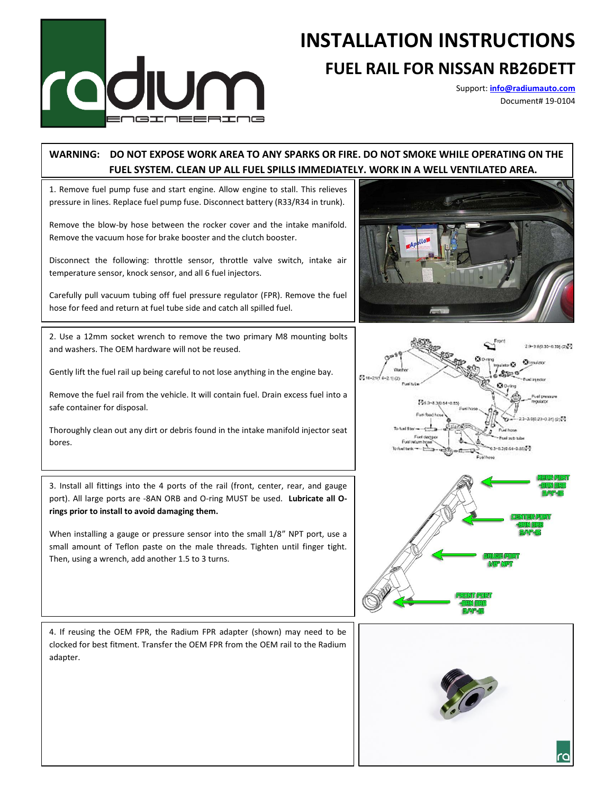

## **INSTALLATION INSTRUCTIONS**

## **FUEL RAIL FOR NISSAN RB26DETT**

Support: **[info@radiumauto.com](mailto:info@radiumauto.com)** Document# 19-0104

## **WARNING: DO NOT EXPOSE WORK AREA TO ANY SPARKS OR FIRE. DO NOT SMOKE WHILE OPERATING ON THE FUEL SYSTEM. CLEAN UP ALL FUEL SPILLS IMMEDIATELY. WORK IN A WELL VENTILATED AREA.**

1. Remove fuel pump fuse and start engine. Allow engine to stall. This relieves pressure in lines. Replace fuel pump fuse. Disconnect battery (R33/R34 in trunk).

Remove the blow-by hose between the rocker cover and the intake manifold. Remove the vacuum hose for brake booster and the clutch booster.

Disconnect the following: throttle sensor, throttle valve switch, intake air temperature sensor, knock sensor, and all 6 fuel injectors.

Carefully pull vacuum tubing off fuel pressure regulator (FPR). Remove the fuel hose for feed and return at fuel tube side and catch all spilled fuel.

2. Use a 12mm socket wrench to remove the two primary M8 mounting bolts and washers. The OEM hardware will not be reused.

Gently lift the fuel rail up being careful to not lose anything in the engine bay.

Remove the fuel rail from the vehicle. It will contain fuel. Drain excess fuel into a safe container for disposal.

Thoroughly clean out any dirt or debris found in the intake manifold injector seat bores.

3. Install all fittings into the 4 ports of the rail (front, center, rear, and gauge port). All large ports are -8AN ORB and O-ring MUST be used. **Lubricate all Orings prior to install to avoid damaging them.**

When installing a gauge or pressure sensor into the small 1/8" NPT port, use a small amount of Teflon paste on the male threads. Tighten until finger tight. Then, using a wrench, add another 1.5 to 3 turns.









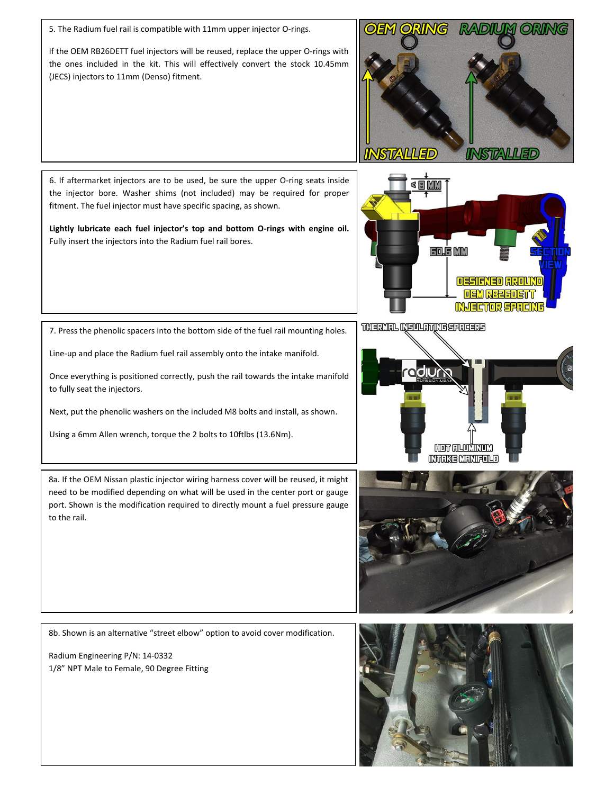5. The Radium fuel rail is compatible with 11mm upper injector O-rings.

If the OEM RB26DETT fuel injectors will be reused, replace the upper O-rings with the ones included in the kit. This will effectively convert the stock 10.45mm (JECS) injectors to 11mm (Denso) fitment.



6. If aftermarket injectors are to be used, be sure the upper O-ring seats inside the injector bore. Washer shims (not included) may be required for proper fitment. The fuel injector must have specific spacing, as shown.

**Lightly lubricate each fuel injector's top and bottom O-rings with engine oil.**  Fully insert the injectors into the Radium fuel rail bores.



7. Press the phenolic spacers into the bottom side of the fuel rail mounting holes.

Line-up and place the Radium fuel rail assembly onto the intake manifold.

Once everything is positioned correctly, push the rail towards the intake manifold to fully seat the injectors.

Next, put the phenolic washers on the included M8 bolts and install, as shown.

Using a 6mm Allen wrench, torque the 2 bolts to 10ftlbs (13.6Nm).



8a. If the OEM Nissan plastic injector wiring harness cover will be reused, it might need to be modified depending on what will be used in the center port or gauge port. Shown is the modification required to directly mount a fuel pressure gauge to the rail.



8b. Shown is an alternative "street elbow" option to avoid cover modification.

Radium Engineering P/N: 14-0332 1/8" NPT Male to Female, 90 Degree Fitting